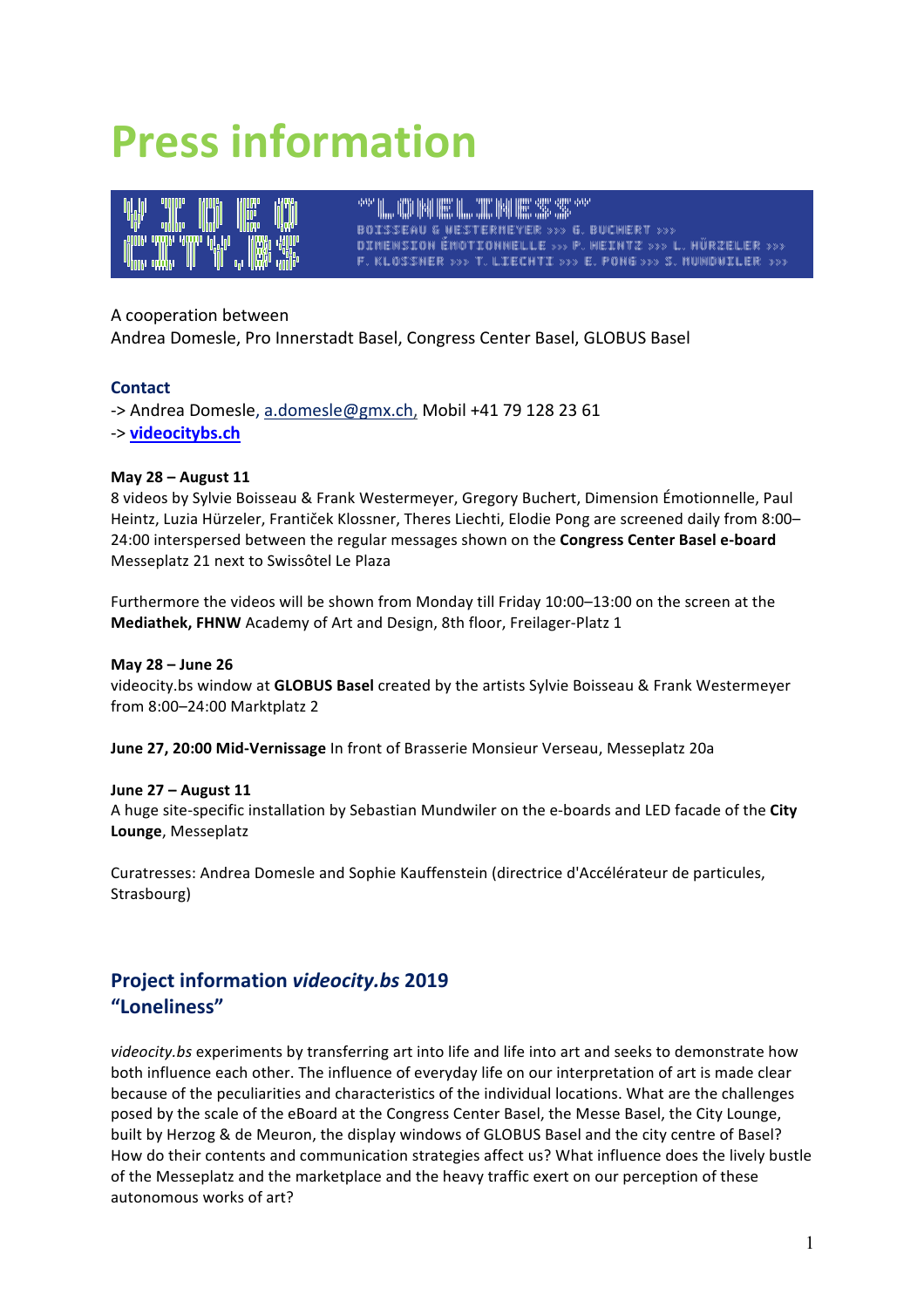# **Press information**



"CONFINESTINGS" IN THE SECOND PROPERTY OF THE SECOND SECOND SECOND SECOND SECOND SECOND SECOND SECOND SECOND S BOISSEAU & WESTERMEYER ››› G. BUCHERT ››› DIMENSION ÉMOTIONNELLE ››› P. HEINTZ ››› L. HÜRZELER ››› F. KLOSSNER ››› T. LIECHTI ››› E. PONG ››› S. MUNDWILER ›››

# A cooperation between

Andrea Domesle, Pro Innerstadt Basel, Congress Center Basel, GLOBUS Basel

## **Contact**

-> Andrea Domesle, a.domesle@gmx.ch, Mobil +41 79 128 23 61 -> **videocitybs.ch**

## **May 28 – August 11**

8 videos by Sylvie Boisseau & Frank Westermeyer, Gregory Buchert, Dimension Émotionnelle, Paul Heintz, Luzia Hürzeler, Frantiček Klossner, Theres Liechti, Elodie Pong are screened daily from 8:00-24:00 interspersed between the regular messages shown on the **Congress Center Basel e-board** Messeplatz 21 next to Swissôtel Le Plaza

Furthermore the videos will be shown from Monday till Friday 10:00–13:00 on the screen at the **Mediathek, FHNW** Academy of Art and Design, 8th floor, Freilager-Platz 1

## **May 28 – June 26**

videocity.bs window at **GLOBUS Basel** created by the artists Sylvie Boisseau & Frank Westermeyer from 8:00–24:00 Marktplatz 2

**June 27, 20:00 Mid-Vernissage** In front of Brasserie Monsieur Verseau, Messeplatz 20a

## **June 27 – August 11**

A huge site-specific installation by Sebastian Mundwiler on the e-boards and LED facade of the City **Lounge**, Messeplatz

Curatresses: Andrea Domesle and Sophie Kauffenstein (directrice d'Accélérateur de particules, Strasbourg)

# **Project information** *videocity.bs* **2019 "Loneliness"**

*videocity.bs* experiments by transferring art into life and life into art and seeks to demonstrate how both influence each other. The influence of everyday life on our interpretation of art is made clear because of the peculiarities and characteristics of the individual locations. What are the challenges posed by the scale of the eBoard at the Congress Center Basel, the Messe Basel, the City Lounge, built by Herzog & de Meuron, the display windows of GLOBUS Basel and the city centre of Basel? How do their contents and communication strategies affect us? What influence does the lively bustle of the Messeplatz and the marketplace and the heavy traffic exert on our perception of these autonomous works of art?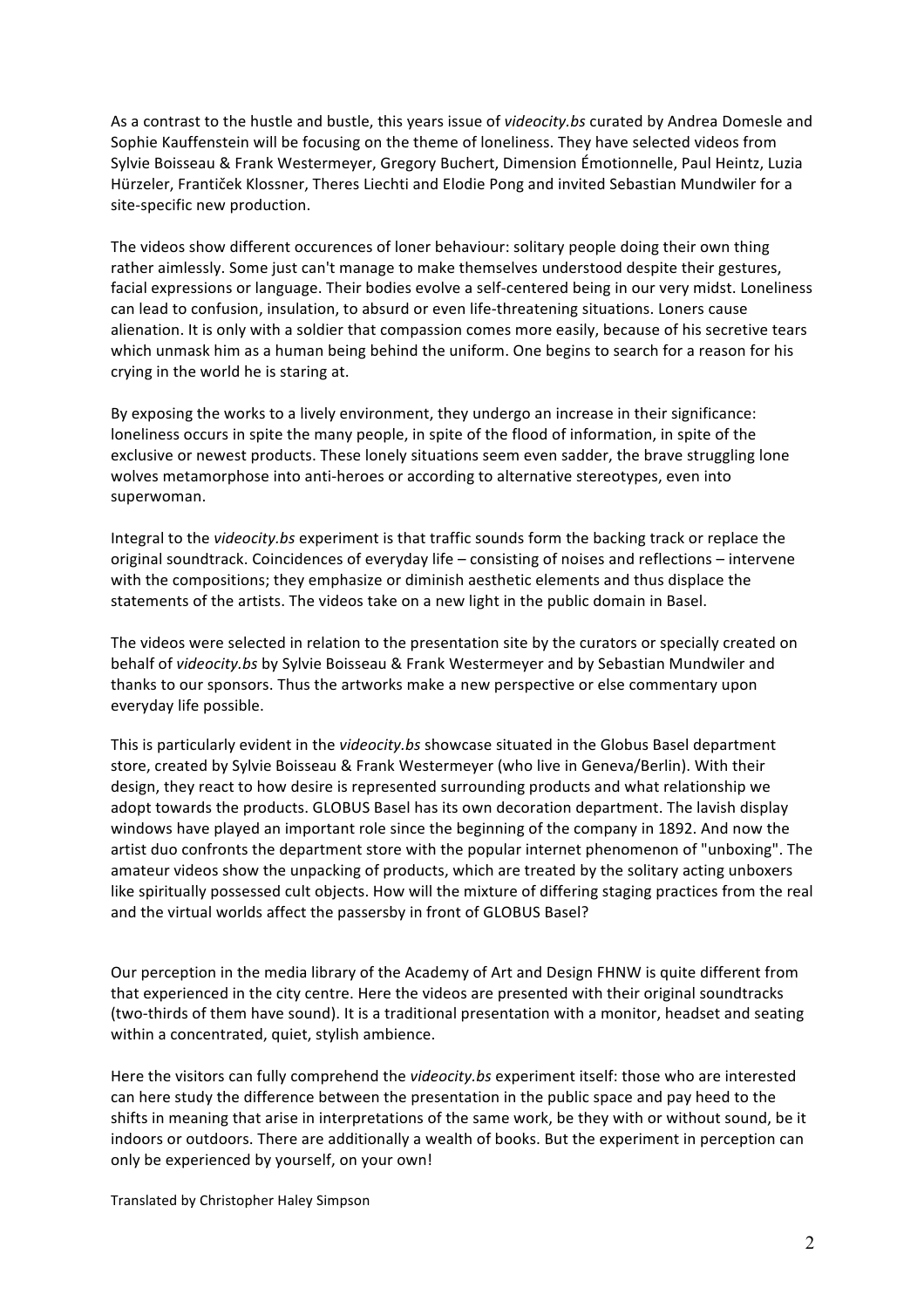As a contrast to the hustle and bustle, this years issue of *videocity.bs* curated by Andrea Domesle and Sophie Kauffenstein will be focusing on the theme of loneliness. They have selected videos from Sylvie Boisseau & Frank Westermeyer, Gregory Buchert, Dimension Émotionnelle, Paul Heintz, Luzia Hürzeler, Frantiček Klossner, Theres Liechti and Elodie Pong and invited Sebastian Mundwiler for a site-specific new production.

The videos show different occurences of loner behaviour: solitary people doing their own thing rather aimlessly. Some just can't manage to make themselves understood despite their gestures, facial expressions or language. Their bodies evolve a self-centered being in our very midst. Loneliness can lead to confusion, insulation, to absurd or even life-threatening situations. Loners cause alienation. It is only with a soldier that compassion comes more easily, because of his secretive tears which unmask him as a human being behind the uniform. One begins to search for a reason for his crying in the world he is staring at.

By exposing the works to a lively environment, they undergo an increase in their significance: loneliness occurs in spite the many people, in spite of the flood of information, in spite of the exclusive or newest products. These lonely situations seem even sadder, the brave struggling lone wolves metamorphose into anti-heroes or according to alternative stereotypes, even into superwoman.

Integral to the videocity.bs experiment is that traffic sounds form the backing track or replace the original soundtrack. Coincidences of everyday life – consisting of noises and reflections – intervene with the compositions; they emphasize or diminish aesthetic elements and thus displace the statements of the artists. The videos take on a new light in the public domain in Basel.

The videos were selected in relation to the presentation site by the curators or specially created on behalf of videocity.bs by Sylvie Boisseau & Frank Westermeyer and by Sebastian Mundwiler and thanks to our sponsors. Thus the artworks make a new perspective or else commentary upon everyday life possible.

This is particularly evident in the *videocity.bs* showcase situated in the Globus Basel department store, created by Sylvie Boisseau & Frank Westermeyer (who live in Geneva/Berlin). With their design, they react to how desire is represented surrounding products and what relationship we adopt towards the products. GLOBUS Basel has its own decoration department. The lavish display windows have played an important role since the beginning of the company in 1892. And now the artist duo confronts the department store with the popular internet phenomenon of "unboxing". The amateur videos show the unpacking of products, which are treated by the solitary acting unboxers like spiritually possessed cult objects. How will the mixture of differing staging practices from the real and the virtual worlds affect the passersby in front of GLOBUS Basel?

Our perception in the media library of the Academy of Art and Design FHNW is quite different from that experienced in the city centre. Here the videos are presented with their original soundtracks (two-thirds of them have sound). It is a traditional presentation with a monitor, headset and seating within a concentrated, quiet, stylish ambience.

Here the visitors can fully comprehend the *videocity.bs* experiment itself: those who are interested can here study the difference between the presentation in the public space and pay heed to the shifts in meaning that arise in interpretations of the same work, be they with or without sound, be it indoors or outdoors. There are additionally a wealth of books. But the experiment in perception can only be experienced by yourself, on your own!

Translated by Christopher Haley Simpson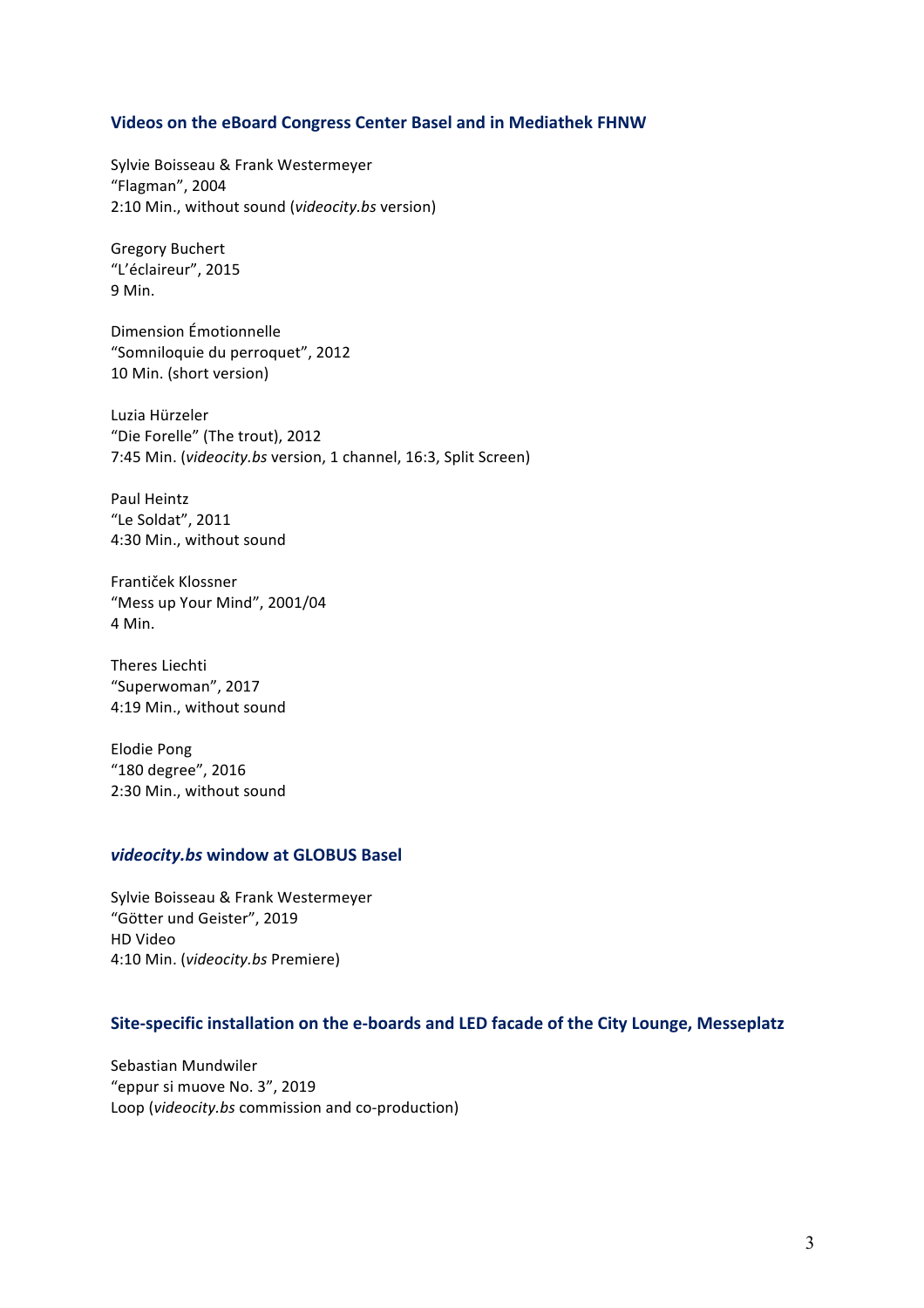## **Videos on the eBoard Congress Center Basel and in Mediathek FHNW**

Sylvie Boisseau & Frank Westermeyer "Flagman", 2004 2:10 Min., without sound (*videocity.bs* version)

Gregory Buchert "L'éclaireur", 2015 9 Min.

Dimension Émotionnelle "Somniloquie du perroquet", 2012 10 Min. (short version)

Luzia Hürzeler "Die Forelle" (The trout), 2012 7:45 Min. (*videocity.bs* version, 1 channel, 16:3, Split Screen)

Paul Heintz "Le Soldat", 2011 4:30 Min., without sound

Frantiček Klossner "Mess up Your Mind", 2001/04 4 Min.

Theres Liechti "Superwoman", 2017 4:19 Min., without sound

Elodie Pong "180 degree", 2016 2:30 Min., without sound

## *videocity.bs* **window at GLOBUS Basel**

Sylvie Boisseau & Frank Westermeyer "Götter und Geister", 2019 HD Video 4:10 Min. (*videocity.bs* Premiere)

# Site-specific installation on the e-boards and LED facade of the City Lounge, Messeplatz

Sebastian Mundwiler "eppur si muove No. 3", 2019 Loop (*videocity.bs* commission and co-production)